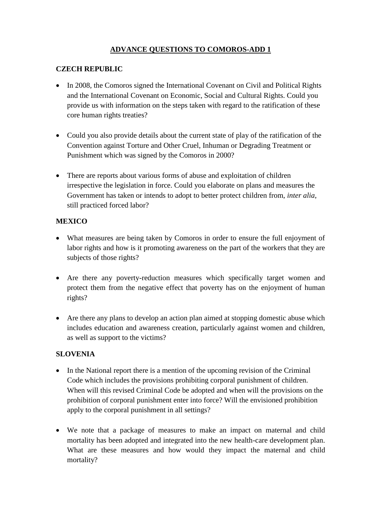# **ADVANCE QUESTIONS TO COMOROS-ADD 1**

### **CZECH REPUBLIC**

- In 2008, the Comoros signed the International Covenant on Civil and Political Rights and the International Covenant on Economic, Social and Cultural Rights. Could you provide us with information on the steps taken with regard to the ratification of these core human rights treaties?
- Could you also provide details about the current state of play of the ratification of the Convention against Torture and Other Cruel, Inhuman or Degrading Treatment or Punishment which was signed by the Comoros in 2000?
- There are reports about various forms of abuse and exploitation of children irrespective the legislation in force. Could you elaborate on plans and measures the Government has taken or intends to adopt to better protect children from, *inter alia*, still practiced forced labor?

#### **MEXICO**

- What measures are being taken by Comoros in order to ensure the full enjoyment of labor rights and how is it promoting awareness on the part of the workers that they are subjects of those rights?
- Are there any poverty-reduction measures which specifically target women and protect them from the negative effect that poverty has on the enjoyment of human rights?
- Are there any plans to develop an action plan aimed at stopping domestic abuse which includes education and awareness creation, particularly against women and children, as well as support to the victims?

## **SLOVENIA**

- In the National report there is a mention of the upcoming revision of the Criminal Code which includes the provisions prohibiting corporal punishment of children. When will this revised Criminal Code be adopted and when will the provisions on the prohibition of corporal punishment enter into force? Will the envisioned prohibition apply to the corporal punishment in all settings?
- We note that a package of measures to make an impact on maternal and child mortality has been adopted and integrated into the new health-care development plan. What are these measures and how would they impact the maternal and child mortality?